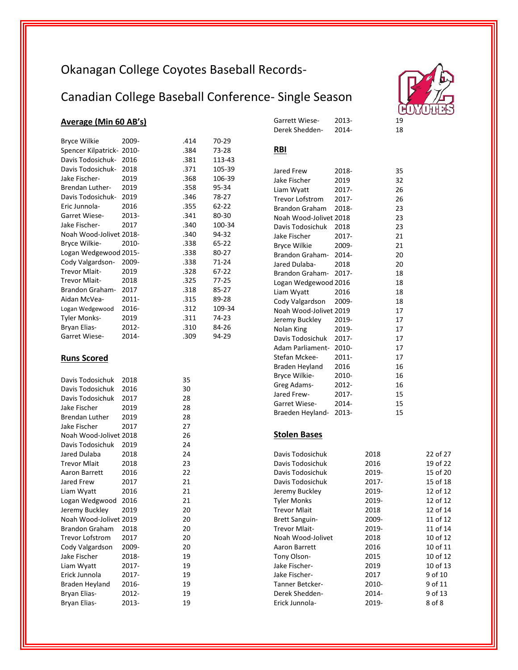# Okanagan College Coyotes Baseball Records-

# Canadian College Baseball Conference- Single Season

# **Average (Min 60 AB's)**

| <b>Bryce Wilkie</b>       | 2009- | .414 | 70-29  |
|---------------------------|-------|------|--------|
| Spencer Kilpatrick- 2010- |       | .384 | 73-28  |
| Davis Todosichuk-         | 2016  | .381 | 113-43 |
| Davis Todosichuk-         | 2018  | .371 | 105-39 |
| Jake Fischer-             | 2019  | .368 | 106-39 |
| <b>Brendan Luther-</b>    | 2019  | .358 | 95-34  |
| Davis Todosichuk-         | 2019  | .346 | 78-27  |
| Eric Junnola-             | 2016  | .355 | 62-22  |
| Garret Wiese-             | 2013- | .341 | 80-30  |
| Jake Fischer-             | 2017  | .340 | 100-34 |
| Noah Wood-Jolivet 2018-   |       | .340 | 94-32  |
| Bryce Wilkie-             | 2010- | .338 | 65-22  |
| Logan Wedgewood 2015-     |       | .338 | 80-27  |
| Cody Valgardson-          | 2009- | .338 | 71-24  |
| Trevor Mlait-             | 2019  | .328 | 67-22  |
| Trevor Mlait-             | 2018  | .325 | 77-25  |
| Brandon Graham-           | 2017  | .318 | 85-27  |
| Aidan McVea-              | 2011- | .315 | 89-28  |
| Logan Wedgewood           | 2016- | .312 | 109-34 |
| <b>Tyler Monks-</b>       | 2019  | .311 | 74-23  |
| Bryan Elias-              | 2012- | .310 | 84-26  |
| Garret Wiese-             | 2014- | .309 | 94-29  |
|                           |       |      |        |
| <b>Runs Scored</b>        |       |      |        |
|                           |       |      |        |
| Davis Todosichuk          | 2018  | 35   |        |
| Davis Todosichuk          | 2016  | 30   |        |
| Davis Todosichuk          | 2017  | 28   |        |
| Jake Fischer              | 2019  | 28   |        |
| <b>Brendan Luther</b>     | 2019  | 28   |        |
| Jake Fischer              | 2017  | 27   |        |
| Noah Wood-Jolivet 2018    |       | 26   |        |
| Davis Todosichuk          | 2019  | 24   |        |
| Jared Dulaba              | 2018  | 24   |        |
| <b>Trevor Mlait</b>       | 2018  | 23   |        |
| Aaron Barrett             | 2016  | 22   |        |
| Jared Frew                | 2017  | 21   |        |
| Liam Wyatt                | 2016  | 21   |        |
| Logan Wedgwood            | 2016  | 21   |        |
| Jeremy Buckley            | 2019  | 20   |        |
| Noah Wood-Jolivet 2019    |       | 20   |        |
| <b>Brandon Graham</b>     | 2018  | 20   |        |
| <b>Trevor Lofstrom</b>    | 2017  | 20   |        |
| Cody Valgardson           | 2009- | 20   |        |
| Jake Fischer              | 2018- | 19   |        |
| Liam Wyatt                | 2017- | 19   |        |
| Erick Junnola             | 2017- | 19   |        |
| <b>Braden Heyland</b>     | 2016- | 19   |        |
| Bryan Elias-              | 2012- | 19   |        |
| <b>Brvan Elias-</b>       | 2013- | 19   |        |

Bryan Elias-

#### Garrett Wiese201319

18

18

201418

<sup>18</sup>

<sub>c</sub> Derek Shedden-

### **RBI**

| Jared Frew             | 2018-    | 35 |
|------------------------|----------|----|
| Jake Fischer           | 2019     | 32 |
| Liam Wyatt             | 2017-    | 26 |
| <b>Trevor Lofstrom</b> | 2017-    | 26 |
| Brandon Graham         | 2018-    | 23 |
| Noah Wood-Jolivet 2018 |          | 23 |
| Davis Todosichuk       | 2018     | 23 |
| Jake Fischer           | 2017-    | 21 |
| <b>Bryce Wilkie</b>    | 2009-    | 21 |
| Brandon Graham-        | 2014-    | 20 |
| Jared Dulaba-          | 2018     | 20 |
| Brandon Graham- 2017-  |          | 18 |
| Logan Wedgewood 2016   |          | 18 |
| Liam Wyatt             | 2016     | 18 |
| Cody Valgardson        | 2009-    | 18 |
| Noah Wood-Jolivet 2019 |          | 17 |
| Jeremy Buckley         | 2019-    | 17 |
| Nolan King             | 2019-    | 17 |
| Davis Todosichuk       | 2017-    | 17 |
| Adam Parliament- 2010- |          | 17 |
| Stefan Mckee-          | $2011 -$ | 17 |
| Braden Heyland         | 2016     | 16 |
| Bryce Wilkie-          | 2010-    | 16 |
| Greg Adams-            | 2012-    | 16 |
| Jared Frew-            | 2017-    | 15 |
| Garret Wiese-          | 2014-    | 15 |
| Braeden Heyland-       | 2013-    | 15 |
|                        |          |    |

## **Stolen Bases**

| Davis Todosichuk       | 2018  | 22 of 27 |
|------------------------|-------|----------|
| Davis Todosichuk       | 2016  | 19 of 22 |
| Davis Todosichuk       | 2019- | 15 of 20 |
| Davis Todosichuk       | 2017- | 15 of 18 |
| Jeremy Buckley         | 2019- | 12 of 12 |
| <b>Tyler Monks</b>     | 2019- | 12 of 12 |
| <b>Trevor Mlait</b>    | 2018  | 12 of 14 |
| <b>Brett Sanguin-</b>  | 2009- | 11 of 12 |
| <b>Trevor Mlait-</b>   | 2019- | 11 of 14 |
| Noah Wood-Jolivet      | 2018  | 10 of 12 |
| Aaron Barrett          | 2016  | 10 of 11 |
| Tony Olson-            | 2015  | 10 of 12 |
| Jake Fischer-          | 2019  | 10 of 13 |
| Jake Fischer-          | 2017  | 9 of 10  |
| <b>Tanner Betcker-</b> | 2010- | 9 of 11  |
| Derek Shedden-         | 2014- | 9 of 13  |
| Erick Junnola-         | 2019- | 8 of 8   |
|                        |       |          |

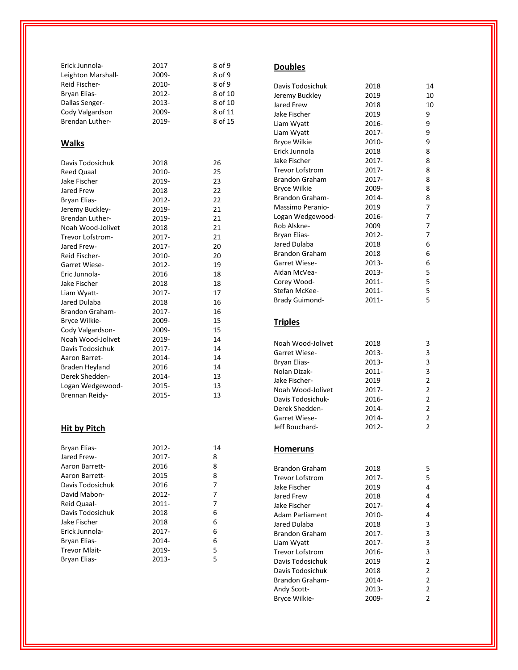| Erick Junnola-         | 2017  | 8 of 9  |
|------------------------|-------|---------|
| Leighton Marshall-     | 2009- | 8 of 9  |
| Reid Fischer-          | 2010- | 8 of 9  |
| Bryan Elias-           | 2012- | 8 of 10 |
| Dallas Senger-         | 2013- | 8 of 10 |
| Cody Valgardson        | 2009- | 8 of 11 |
| <b>Brendan Luther-</b> | 2019- | 8 of 15 |
|                        |       |         |
| <b>Walks</b>           |       |         |
|                        |       |         |
| Davis Todosichuk       | 2018  | 26      |
| <b>Reed Quaal</b>      | 2010- | 25      |
| Jake Fischer           | 2019- | 23      |
| Jared Frew             | 2018  | 22      |
| Bryan Elias-           | 2012- | 22      |
| Jeremy Buckley-        | 2019- | 21      |
| <b>Brendan Luther-</b> | 2019- | 21      |
| Noah Wood-Jolivet      | 2018  | 21      |
| Trevor Lofstrom-       | 2017- | 21      |
| Jared Frew-            | 2017- | 20      |
| Reid Fischer-          | 2010- | 20      |
| Garret Wiese-          | 2012- | 19      |
| Eric Junnola-          | 2016  | 18      |
| Jake Fischer           | 2018  | 18      |
| Liam Wyatt-            | 2017- | 17      |
| Jared Dulaba           | 2018  | 16      |
| <b>Brandon Graham-</b> | 2017- | 16      |
| Bryce Wilkie-          | 2009- | 15      |
| Cody Valgardson-       | 2009- | 15      |
| Noah Wood-Jolivet      | 2019- | 14      |
| Davis Todosichuk       | 2017- | 14      |
| Aaron Barret-          | 2014- | 14      |
| Braden Heyland         | 2016  | 14      |
| Derek Shedden-         | 2014- | 13      |
| Logan Wedgewood-       | 2015- | 13      |
| Brennan Reidy-         | 2015- | 13      |
|                        |       |         |
|                        |       |         |

# **Hit by Pitch**

| Bryan Elias-     | $2012 -$ | 14 |
|------------------|----------|----|
| Jared Frew-      | 2017-    | 8  |
| Aaron Barrett-   | 2016     | 8  |
| Aaron Barrett-   | 2015     | 8  |
| Davis Todosichuk | 2016     | 7  |
| David Mabon-     | $2012 -$ | 7  |
| Reid Quaal-      | $2011 -$ | 7  |
| Davis Todosichuk | 2018     | 6  |
| Jake Fischer     | 2018     | 6  |
| Erick Junnola-   | 2017-    | 6  |
| Bryan Elias-     | 2014-    | 6  |
| Trevor Mlait-    | 2019-    | 5  |
| Bryan Elias-     | 2013-    | 5  |
|                  |          |    |

#### **Doubles**

| Davis Todosichuk       | 2018     | 14 |
|------------------------|----------|----|
| Jeremy Buckley         | 2019     | 10 |
| Jared Frew             | 2018     | 10 |
| Jake Fischer           | 2019     | 9  |
| Liam Wyatt             | 2016-    | 9  |
| Liam Wyatt             | 2017-    | 9  |
| <b>Bryce Wilkie</b>    | 2010-    | 9  |
| Erick Junnola          | 2018     | 8  |
| Jake Fischer           | 2017-    | 8  |
| <b>Trevor Lofstrom</b> | 2017-    | 8  |
| <b>Brandon Graham</b>  | $2017 -$ | 8  |
| <b>Bryce Wilkie</b>    | 2009-    | 8  |
| <b>Brandon Graham-</b> | 2014-    | 8  |
| Massimo Peranio-       | 2019     | 7  |
| Logan Wedgewood-       | 2016-    | 7  |
| Rob Alskne-            | 2009     | 7  |
| Bryan Elias-           | 2012-    | 7  |
| Jared Dulaba           | 2018     | 6  |
| <b>Brandon Graham</b>  | 2018     | 6  |
| Garret Wiese-          | 2013-    | 6  |
| Aidan McVea-           | 2013-    | 5  |
| Corey Wood-            | $2011 -$ | 5  |
| Stefan McKee-          | $2011 -$ | 5  |
| <b>Brady Guimond-</b>  | 2011-    | 5  |
|                        |          |    |

# **Triples**

| Noah Wood-Jolivet | 2018     | 3             |
|-------------------|----------|---------------|
| Garret Wiese-     | 2013-    | 3             |
| Bryan Elias-      | 2013-    | 3             |
| Nolan Dizak-      | $2011 -$ | 3             |
| Jake Fischer-     | 2019     | 2             |
| Noah Wood-Jolivet | $2017 -$ | $\mathcal{P}$ |
| Davis Todosichuk- | 2016-    | 2             |
| Derek Shedden-    | 2014-    | $\mathcal{P}$ |
| Garret Wiese-     | 2014-    | 2             |
| Jeff Bouchard-    | 2012-    | $\mathcal{P}$ |

# **Homeruns**

| <b>Brandon Graham</b>  | 2018     | 5 |
|------------------------|----------|---|
| <b>Trevor Lofstrom</b> | 2017-    | 5 |
| Jake Fischer           | 2019     | 4 |
| Jared Frew             | 2018     | 4 |
| Jake Fischer           | $2017 -$ | 4 |
| <b>Adam Parliament</b> | 2010-    | 4 |
| Jared Dulaba           | 2018     | 3 |
| <b>Brandon Graham</b>  | $2017 -$ | 3 |
| Liam Wyatt             | $2017 -$ | 3 |
| <b>Trevor Lofstrom</b> | 2016-    | 3 |
| Davis Todosichuk       | 2019     | 2 |
| Davis Todosichuk       | 2018     | 2 |
| <b>Brandon Graham-</b> | 2014-    | 2 |
| <b>Andy Scott-</b>     | 2013-    | 2 |
| Bryce Wilkie-          | 2009-    | 2 |
|                        |          |   |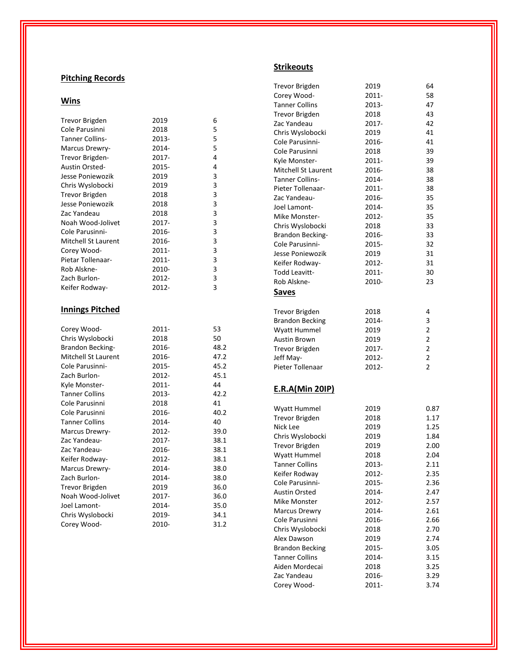# **Pitching Records**

### **Wins**

| <b>Trevor Brigden</b>      | 2019     | 6    |
|----------------------------|----------|------|
| Cole Parusinni             | 2018     | 5    |
| <b>Tanner Collins-</b>     | 2013-    | 5    |
| Marcus Drewry-             | 2014-    | 5    |
| Trevor Brigden-            | 2017-    | 4    |
| Austin Orsted-             | 2015-    | 4    |
| Jesse Poniewozik           | 2019     | 3    |
| Chris Wyslobocki           | 2019     | 3    |
| <b>Trevor Brigden</b>      | 2018     | 3    |
| Jesse Poniewozik           | 2018     | 3    |
| Zac Yandeau                | 2018     | 3    |
| Noah Wood-Jolivet          | 2017-    | 3    |
| Cole Parusinni-            | 2016-    | 3    |
| <b>Mitchell St Laurent</b> | 2016-    | 3    |
| Corey Wood-                | $2011 -$ | 3    |
| Pietar Tollenaar-          | $2011 -$ | 3    |
| Rob Alskne-                | 2010-    | 3    |
| Zach Burlon-               | 2012-    | 3    |
| Keifer Rodway-             | 2012-    | 3    |
| <b>Innings Pitched</b>     |          |      |
| Corey Wood-                | 2011-    | 53   |
| Chris Wyslobocki           | 2018     | 50   |
| Brandon Becking-           | 2016-    | 48.2 |
| <b>Mitchell St Laurent</b> | 2016-    | 47.2 |
| Cole Parusinni-            | 2015-    | 45.2 |
| Zach Burlon-               | 2012-    | 45.1 |
| Kyle Monster-              | 2011-    | 44   |
| <b>Tanner Collins</b>      | 2013-    | 42.2 |
| Cole Parusinni             | 2018     | 41   |
| Cole Parusinni             | 2016-    | 40.2 |

Tanner Collins 2014-

Noah Wood -Jolivet 2017

Chris Wyslobocki 2019

- 2012

- 2017

- 2016

- 2012

- 2014

- 2014

- 2014

- 2010

2017- 36.0

Trevor Brigden 2019 36.0

Marcus Drewry

Zac Yandeau

Zac Yandeau

Zach Burlon

Joel Lamont

Corey Wood

Keifer Rodway

Marcus Drewry

- 40

- 39.0

- 38.1

- 38.1

- 38.1

- 38.0

- 38.0

- 35.0

- 34.1

- 31.2

### **Strikeouts**

| Trevor Brigden             | 2019  | 64             |
|----------------------------|-------|----------------|
| Corey Wood-                | 2011- | 58             |
| <b>Tanner Collins</b>      | 2013- | 47             |
| <b>Trevor Brigden</b>      | 2018  | 43             |
| Zac Yandeau                | 2017- | 42             |
| Chris Wyslobocki           | 2019  | 41             |
| Cole Parusinni-            | 2016- | 41             |
| Cole Parusinni             | 2018  | 39             |
| Kyle Monster-              | 2011- | 39             |
| <b>Mitchell St Laurent</b> | 2016- | 38             |
| <b>Tanner Collins-</b>     | 2014- | 38             |
| Pieter Tollenaar-          | 2011- | 38             |
| Zac Yandeau-               | 2016- | 35             |
| Joel Lamont-               | 2014- | 35             |
| Mike Monster-              | 2012- | 35             |
| Chris Wyslobocki           | 2018  | 33             |
| Brandon Becking-           | 2016- | 33             |
| Cole Parusinni-            | 2015- | 32             |
| Jesse Poniewozik           | 2019  | 31             |
| Keifer Rodway-             | 2012- | 31             |
| <b>Todd Leavitt-</b>       | 2011- | 30             |
| Rob Alskne-                | 2010- | 23             |
| Saves                      |       |                |
|                            |       |                |
| <b>Trevor Brigden</b>      | 2018  | 4              |
| <b>Brandon Becking</b>     | 2014- | 3              |
| Wyatt Hummel               | 2019  | 2              |
| <b>Austin Brown</b>        | 2019  | $\overline{2}$ |
| <b>Trevor Brigden</b>      | 2017- | $\overline{2}$ |
| Jeff May-                  | 2012- | 2              |
| Pieter Tollenaar           | 2012- | $\overline{2}$ |
| <b>E.R.A(Min 20IP)</b>     |       |                |
| Wyatt Hummel               | 2019  | 0.87           |
| <b>Trevor Brigden</b>      | 2018  | 1.17           |
| Nick Lee                   | 2019  | 1.25           |
| Chris Wyslobocki           | 2019  | 1.84           |
| <b>Trevor Brigden</b>      | 2019  | 2.00           |
| Wyatt Hummel               | 2018  | 2.04           |
| <b>Tanner Collins</b>      | 2013- | 2.11           |
| Keifer Rodway              | 2012- | 2.35           |
| Cole Parusinni-            | 2015- | 2.36           |
| <b>Austin Orsted</b>       | 2014- | 2.47           |
| <b>Mike Monster</b>        | 2012- | 2.57           |
| <b>Marcus Drewry</b>       | 2014- | 2.61           |
| Cole Parusinni             | 2016- | 2.66           |
| Chris Wyslobocki           | 2018  | 2.70           |
| Alex Dawson                | 2019  | 2.74           |
| <b>Brandon Becking</b>     | 2015- | 3.05           |
| <b>Tanner Collins</b>      | 2014- | 3.15           |
| Aiden Mordecai             | 2018  | 3.25           |
| Zac Yandeau                | 2016- | 3.29           |
| Corey Wood-                | 2011- | 3.74           |
|                            |       |                |